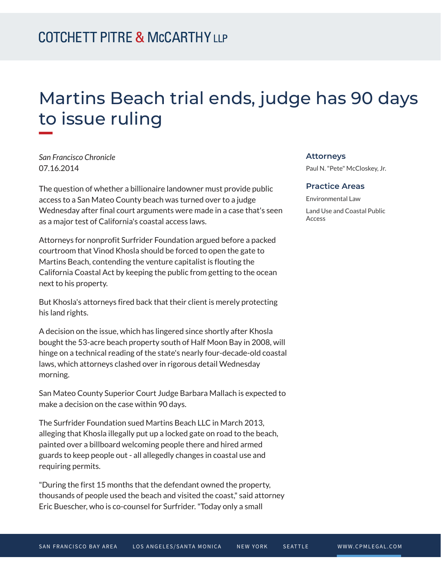## Martins Beach trial ends, judge has 90 days to issue ruling

*San Francisco Chronicle* 07.16.2014

**William** 

The question of whether a billionaire landowner must provide public access to a San Mateo County beach was turned over to a judge Wednesday after final court arguments were made in a case that's seen as a major test of California's coastal access laws.

Attorneys for nonprofit Surfrider Foundation argued before a packed courtroom that Vinod Khosla should be forced to open the gate to Martins Beach, contending the venture capitalist is flouting the California Coastal Act by keeping the public from getting to the ocean next to his property.

But Khosla's attorneys fired back that their client is merely protecting his land rights.

A decision on the issue, which has lingered since shortly after Khosla bought the 53-acre beach property south of Half Moon Bay in 2008, will hinge on a technical reading of the state's nearly four-decade-old coastal laws, which attorneys clashed over in rigorous detail Wednesday morning.

San Mateo County Superior Court Judge Barbara Mallach is expected to make a decision on the case within 90 days.

The Surfrider Foundation sued Martins Beach LLC in March 2013, alleging that Khosla illegally put up a locked gate on road to the beach, painted over a billboard welcoming people there and hired armed guards to keep people out - all allegedly changes in coastal use and requiring permits.

"During the first 15 months that the defendant owned the property, thousands of people used the beach and visited the coast," said attorney Eric Buescher, who is co-counsel for Surfrider. "Today only a small

## **Attorneys**

Paul N. "Pete" McCloskey, Jr.

## **Practice Areas**

Environmental Law Land Use and Coastal Public Access